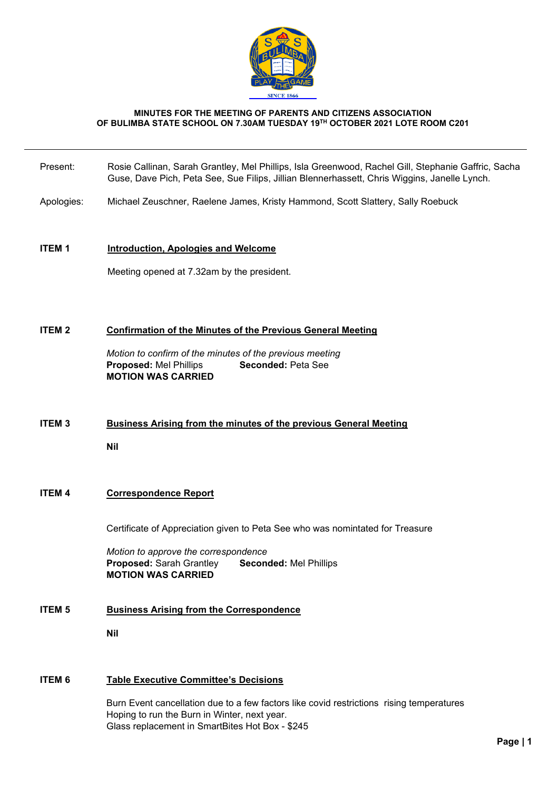

#### **MINUTES FOR THE MEETING OF PARENTS AND CITIZENS ASSOCIATION OF BULIMBA STATE SCHOOL ON 7.30AM TUESDAY 19TH OCTOBER 2021 LOTE ROOM C201**

- Present: Rosie Callinan, Sarah Grantley, Mel Phillips, Isla Greenwood, Rachel Gill, Stephanie Gaffric, Sacha Guse, Dave Pich, Peta See, Sue Filips, Jillian Blennerhassett, Chris Wiggins, Janelle Lynch.
- Apologies: Michael Zeuschner, Raelene James, Kristy Hammond, Scott Slattery, Sally Roebuck

#### **ITEM 1 Introduction, Apologies and Welcome**

Meeting opened at 7.32am by the president.

#### **ITEM 2 Confirmation of the Minutes of the Previous General Meeting**

*Motion to confirm of the minutes of the previous meeting* **Proposed:** Mel Phillips **Seconded:** Peta See **MOTION WAS CARRIED**

# **ITEM 3 Business Arising from the minutes of the previous General Meeting**

**Nil**

# **ITEM 4 Correspondence Report**

Certificate of Appreciation given to Peta See who was nomintated for Treasure

*Motion to approve the correspondence* **Proposed:** Sarah Grantley **Seconded:** Mel Phillips **MOTION WAS CARRIED**

# **ITEM 5 Business Arising from the Correspondence**

**Nil**

## **ITEM 6 Table Executive Committee's Decisions**

Burn Event cancellation due to a few factors like covid restrictions rising temperatures Hoping to run the Burn in Winter, next year. Glass replacement in SmartBites Hot Box - \$245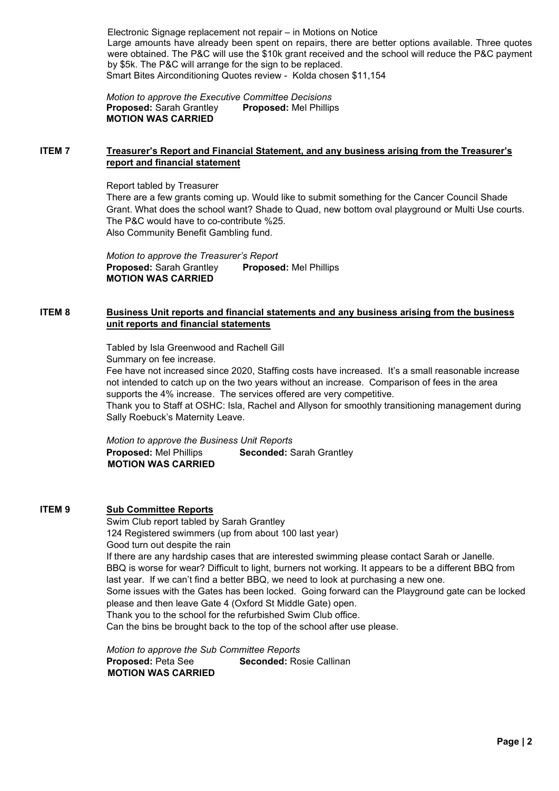Electronic Signage replacement not repair – in Motions on Notice Large amounts have already been spent on repairs, there are better options available. Three quotes were obtained. The P&C will use the \$10k grant received and the school will reduce the P&C payment by \$5k. The P&C will arrange for the sign to be replaced. Smart Bites Airconditioning Quotes review - Kolda chosen \$11,154

*Motion to approve the Executive Committee Decisions* **Proposed:** Sarah Grantley **Proposed:** Mel Phillips **MOTION WAS CARRIED**

## **ITEM 7 Treasurer's Report and Financial Statement, and any business arising from the Treasurer's report and financial statement**

Report tabled by Treasurer There are a few grants coming up. Would like to submit something for the Cancer Council Shade Grant. What does the school want? Shade to Quad, new bottom oval playground or Multi Use courts. The P&C would have to co-contribute %25. Also Community Benefit Gambling fund.

*Motion to approve the Treasurer's Report* **Proposed:** Sarah Grantley **Proposed:** Mel Phillips **MOTION WAS CARRIED**

## **ITEM 8 Business Unit reports and financial statements and any business arising from the business unit reports and financial statements**

Tabled by Isla Greenwood and Rachell Gill Summary on fee increase.

Fee have not increased since 2020, Staffing costs have increased. It's a small reasonable increase not intended to catch up on the two years without an increase. Comparison of fees in the area supports the 4% increase. The services offered are very competitive.

Thank you to Staff at OSHC: Isla, Rachel and Allyson for smoothly transitioning management during Sally Roebuck's Maternity Leave.

*Motion to approve the Business Unit Reports* **Proposed:** Mel Phillips **Seconded:** Sarah Grantley **MOTION WAS CARRIED**

## **ITEM 9 Sub Committee Reports**

Swim Club report tabled by Sarah Grantley 124 Registered swimmers (up from about 100 last year) Good turn out despite the rain If there are any hardship cases that are interested swimming please contact Sarah or Janelle. BBQ is worse for wear? Difficult to light, burners not working. It appears to be a different BBQ from last year. If we can't find a better BBQ, we need to look at purchasing a new one. Some issues with the Gates has been locked. Going forward can the Playground gate can be locked please and then leave Gate 4 (Oxford St Middle Gate) open. Thank you to the school for the refurbished Swim Club office. Can the bins be brought back to the top of the school after use please.

*Motion to approve the Sub Committee Reports* **Proposed:** Peta See **Seconded:** Rosie Callinan **MOTION WAS CARRIED**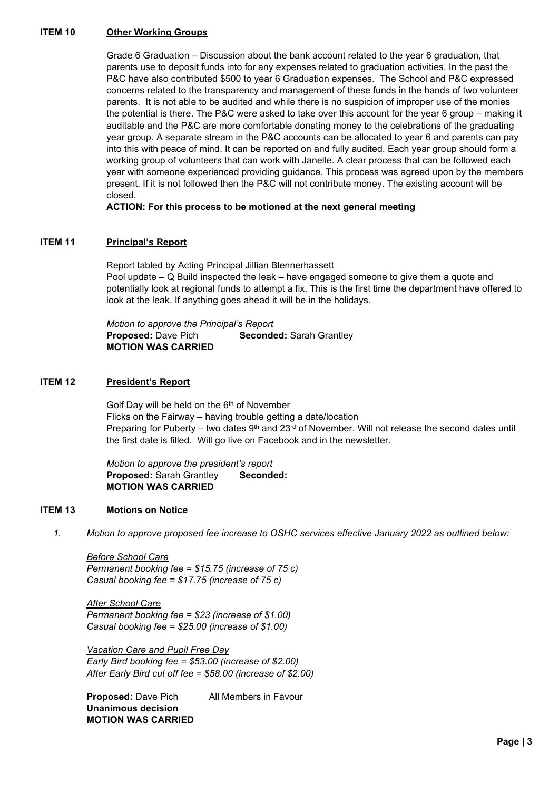#### **ITEM 10 Other Working Groups**

Grade 6 Graduation – Discussion about the bank account related to the year 6 graduation, that parents use to deposit funds into for any expenses related to graduation activities. In the past the P&C have also contributed \$500 to year 6 Graduation expenses. The School and P&C expressed concerns related to the transparency and management of these funds in the hands of two volunteer parents. It is not able to be audited and while there is no suspicion of improper use of the monies the potential is there. The P&C were asked to take over this account for the year 6 group – making it auditable and the P&C are more comfortable donating money to the celebrations of the graduating year group. A separate stream in the P&C accounts can be allocated to year 6 and parents can pay into this with peace of mind. It can be reported on and fully audited. Each year group should form a working group of volunteers that can work with Janelle. A clear process that can be followed each year with someone experienced providing guidance. This process was agreed upon by the members present. If it is not followed then the P&C will not contribute money. The existing account will be closed.

**ACTION: For this process to be motioned at the next general meeting**

#### **ITEM 11 Principal's Report**

Report tabled by Acting Principal Jillian Blennerhassett Pool update – Q Build inspected the leak – have engaged someone to give them a quote and potentially look at regional funds to attempt a fix. This is the first time the department have offered to look at the leak. If anything goes ahead it will be in the holidays.

*Motion to approve the Principal's Report* **Proposed:** Dave Pich **Seconded:** Sarah Grantley **MOTION WAS CARRIED**

#### **ITEM 12 President's Report**

Golf Day will be held on the 6<sup>th</sup> of November Flicks on the Fairway – having trouble getting a date/location Preparing for Puberty – two dates  $9<sup>th</sup>$  and 23<sup>rd</sup> of November. Will not release the second dates until the first date is filled. Will go live on Facebook and in the newsletter.

*Motion to approve the president's report* **Proposed: Sarah Grantley Seconded: MOTION WAS CARRIED**

#### **ITEM 13 Motions on Notice**

*1. Motion to approve proposed fee increase to OSHC services effective January 2022 as outlined below:*

*Before School Care Permanent booking fee = \$15.75 (increase of 75 c) Casual booking fee = \$17.75 (increase of 75 c)* 

*After School Care Permanent booking fee = \$23 (increase of \$1.00) Casual booking fee = \$25.00 (increase of \$1.00)*

*Vacation Care and Pupil Free Day Early Bird booking fee = \$53.00 (increase of \$2.00) After Early Bird cut off fee = \$58.00 (increase of \$2.00)*

**Proposed:** Dave Pich All Members in Favour **Unanimous decision MOTION WAS CARRIED**